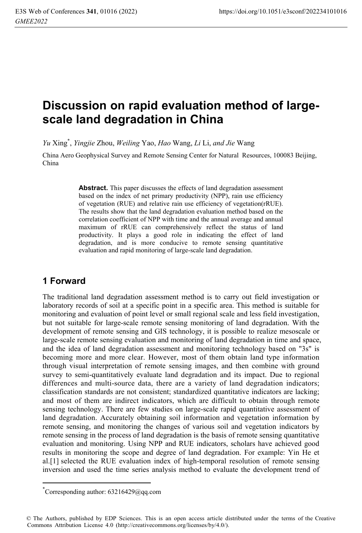# **Discussion on rapid evaluation method of largescale land degradation in China**

*Yu* Xing\* , *Yingjie* Zhou, *Weiling* Yao, *Hao* Wang, *Li* Li, *and Jie* Wang

China Aero Geophysical Survey and Remote Sensing Center for Natural Resources, 100083 Beijing, China

> Abstract. This paper discusses the effects of land degradation assessment based on the index of net primary productivity (NPP), rain use efficiency of vegetation (RUE) and relative rain use efficiency of vegetation(rRUE). The results show that the land degradation evaluation method based on the correlation coefficient of NPP with time and the annual average and annual maximum of rRUE can comprehensively reflect the status of land productivity. It plays a good role in indicating the effect of land degradation, and is more conducive to remote sensing quantitative evaluation and rapid monitoring of large-scale land degradation.

# **1 Forward**

The traditional land degradation assessment method is to carry out field investigation or laboratory records of soil at a specific point in a specific area. This method is suitable for monitoring and evaluation of point level or small regional scale and less field investigation, but not suitable for large-scale remote sensing monitoring of land degradation. With the development of remote sensing and GIS technology, it is possible to realize mesoscale or large-scale remote sensing evaluation and monitoring of land degradation in time and space, and the idea of land degradation assessment and monitoring technology based on "3s" is becoming more and more clear. However, most of them obtain land type information through visual interpretation of remote sensing images, and then combine with ground survey to semi-quantitatively evaluate land degradation and its impact. Due to regional differences and multi-source data, there are a variety of land degradation indicators; classification standards are not consistent; standardized quantitative indicators are lacking; and most of them are indirect indicators, which are difficult to obtain through remote sensing technology. There are few studies on large-scale rapid quantitative assessment of land degradation. Accurately obtaining soil information and vegetation information by remote sensing, and monitoring the changes of various soil and vegetation indicators by remote sensing in the process of land degradation is the basis of remote sensing quantitative evaluation and monitoring. Using NPP and RUE indicators, scholars have achieved good results in monitoring the scope and degree of land degradation. For example: Yin He et al.[1] selected the RUE evaluation index of high-temporal resolution of remote sensing inversion and used the time series analysis method to evaluate the development trend of

 $\overline{a}$ 

<sup>\*</sup> Corresponding author: 63216429@qq.com

<sup>©</sup> The Authors, published by EDP Sciences. This is an open access article distributed under the terms of the Creative Commons Attribution License 4.0 (http://creativecommons.org/licenses/by/4.0/).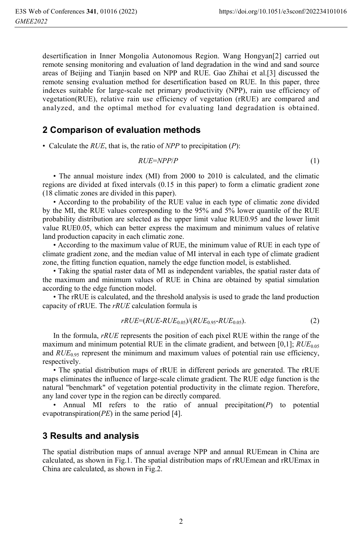desertification in Inner Mongolia Autonomous Region. Wang Hongyan[2] carried out remote sensing monitoring and evaluation of land degradation in the wind and sand source areas of Beijing and Tianjin based on NPP and RUE. Gao Zhihai et al.[3] discussed the remote sensing evaluation method for desertification based on RUE. In this paper, three indexes suitable for large-scale net primary productivity (NPP), rain use efficiency of vegetation(RUE), relative rain use efficiency of vegetation (rRUE) are compared and analyzed, and the optimal method for evaluating land degradation is obtained.

## **2 Comparison of evaluation methods**

• Calculate the *RUE*, that is, the ratio of *NPP* to precipitation (*P*):

$$
RUE=NPP/P
$$
 (1)

• The annual moisture index (MI) from 2000 to 2010 is calculated, and the climatic regions are divided at fixed intervals (0.15 in this paper) to form a climatic gradient zone (18 climatic zones are divided in this paper).

• According to the probability of the RUE value in each type of climatic zone divided by the MI, the RUE values corresponding to the 95% and 5% lower quantile of the RUE probability distribution are selected as the upper limit value RUE0.95 and the lower limit value RUE0.05, which can better express the maximum and minimum values of relative land production capacity in each climatic zone.

• According to the maximum value of RUE, the minimum value of RUE in each type of climate gradient zone, and the median value of MI interval in each type of climate gradient zone, the fitting function equation, namely the edge function model, is established.

• Taking the spatial raster data of MI as independent variables, the spatial raster data of the maximum and minimum values of RUE in China are obtained by spatial simulation according to the edge function model.

• The rRUE is calculated, and the threshold analysis is used to grade the land production capacity of rRUE. The *rRUE* calculation formula is

$$
rRUE=(RUE-RUE_{0.05})/(RUE_{0.95}-RUE_{0.05}).
$$
\n(2)

In the formula, *rRUE* represents the position of each pixel RUE within the range of the maximum and minimum potential RUE in the climate gradient, and between  $[0,1]$ ;  $RUE_{0.05}$ and *RUE*<sub>0.95</sub> represent the minimum and maximum values of potential rain use efficiency, respectively.

• The spatial distribution maps of rRUE in different periods are generated. The rRUE maps eliminates the influence of large-scale climate gradient. The RUE edge function is the natural "benchmark" of vegetation potential productivity in the climate region. Therefore, any land cover type in the region can be directly compared.

• Annual MI refers to the ratio of annual precipitation(*P*) to potential evapotranspiration(*PE*) in the same period [4].

#### **3 Results and analysis**

The spatial distribution maps of annual average NPP and annual RUEmean in China are calculated, as shown in Fig.1. The spatial distribution maps of rRUEmean and rRUEmax in China are calculated, as shown in Fig.2.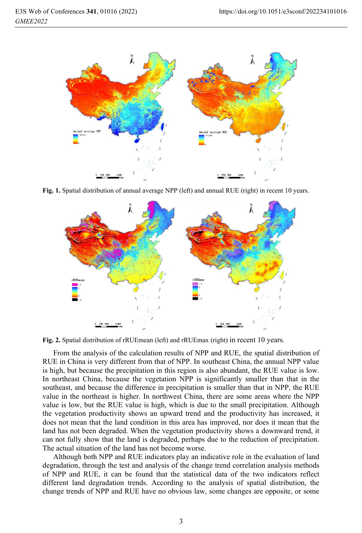

**Fig. 1.** Spatial distribution of annual average NPP (left) and annual RUE (right) in recent 10 years.



**Fig. 2.** Spatial distribution of rRUEmean (left) and rRUEmax (right) in recent 10 years.

From the analysis of the calculation results of NPP and RUE, the spatial distribution of RUE in China is very different from that of NPP. In southeast China, the annual NPP value is high, but because the precipitation in this region is also abundant, the RUE value is low. In northeast China, because the vegetation NPP is significantly smaller than that in the southeast, and because the difference in precipitation is smaller than that in NPP, the RUE value in the northeast is higher. In northwest China, there are some areas where the NPP value is low, but the RUE value is high, which is due to the small precipitation. Although the vegetation productivity shows an upward trend and the productivity has increased, it does not mean that the land condition in this area has improved, nor does it mean that the land has not been degraded. When the vegetation productivity shows a downward trend, it can not fully show that the land is degraded, perhaps due to the reduction of precipitation. The actual situation of the land has not become worse.

Although both NPP and RUE indicators play an indicative role in the evaluation of land degradation, through the test and analysis of the change trend correlation analysis methods of NPP and RUE, it can be found that the statistical data of the two indicators reflect different land degradation trends. According to the analysis of spatial distribution, the change trends of NPP and RUE have no obvious law, some changes are opposite, or some